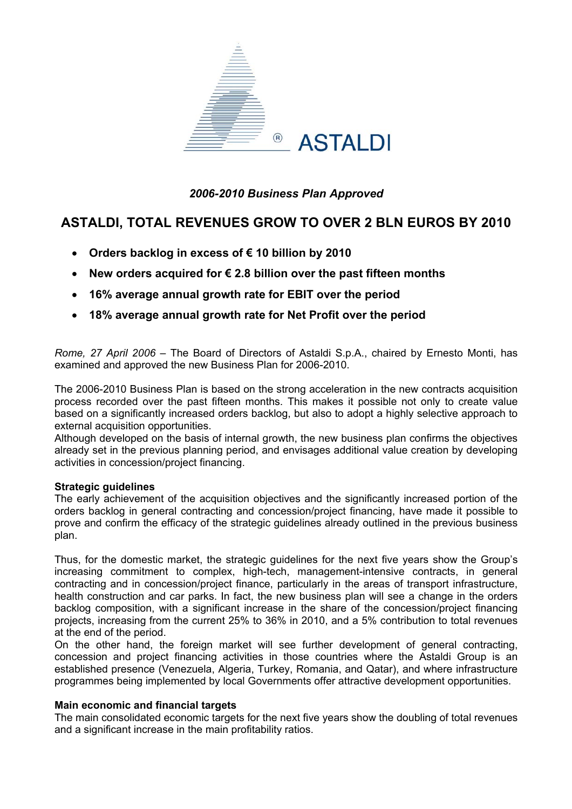

## *2006-2010 Business Plan Approved*

# **ASTALDI, TOTAL REVENUES GROW TO OVER 2 BLN EUROS BY 2010**

- **Orders backlog in excess of € 10 billion by 2010**
- **New orders acquired for € 2.8 billion over the past fifteen months**
- **16% average annual growth rate for EBIT over the period**
- **18% average annual growth rate for Net Profit over the period**

*Rome, 27 April 2006* – The Board of Directors of Astaldi S.p.A., chaired by Ernesto Monti, has examined and approved the new Business Plan for 2006-2010.

The 2006-2010 Business Plan is based on the strong acceleration in the new contracts acquisition process recorded over the past fifteen months. This makes it possible not only to create value based on a significantly increased orders backlog, but also to adopt a highly selective approach to external acquisition opportunities.

Although developed on the basis of internal growth, the new business plan confirms the objectives already set in the previous planning period, and envisages additional value creation by developing activities in concession/project financing.

### **Strategic guidelines**

The early achievement of the acquisition objectives and the significantly increased portion of the orders backlog in general contracting and concession/project financing, have made it possible to prove and confirm the efficacy of the strategic guidelines already outlined in the previous business plan.

Thus, for the domestic market, the strategic guidelines for the next five years show the Group's increasing commitment to complex, high-tech, management-intensive contracts, in general contracting and in concession/project finance, particularly in the areas of transport infrastructure, health construction and car parks. In fact, the new business plan will see a change in the orders backlog composition, with a significant increase in the share of the concession/project financing projects, increasing from the current 25% to 36% in 2010, and a 5% contribution to total revenues at the end of the period.

On the other hand, the foreign market will see further development of general contracting, concession and project financing activities in those countries where the Astaldi Group is an established presence (Venezuela, Algeria, Turkey, Romania, and Qatar), and where infrastructure programmes being implemented by local Governments offer attractive development opportunities.

### **Main economic and financial targets**

The main consolidated economic targets for the next five years show the doubling of total revenues and a significant increase in the main profitability ratios.